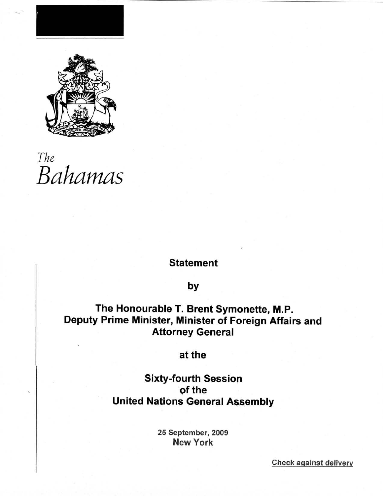

# *The* Bahamas

## **Statement**

### by

# The Honourable T. Brent Symonette, M.P. Deputy Prime Minister, Minister of Foreign Affairs and Attorney General

## at the

## Sixty-fourth Session of the United Nations General Assembly

25 September, 2009 New York

Check **against delivery**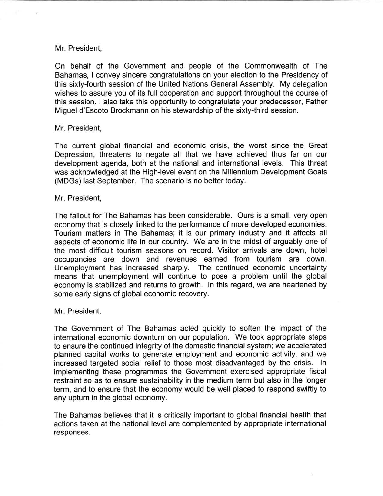On behalf of the Government and people of the Commonwealth of The Bahamas, I convey sincere congratulations on your election to the Presidency of this sixty-fourth session of the United Nations General Assembly. My delegation wishes to assure you of its full cooperation and support throughout the course of this session. I also take this opportunity to congratulate your predecessor, Father Miguel d'Escoto Brockmann on his stewardship of the sixty-third session.

#### Mr. President,

The current global financial and economic crisis, the worst since the Great Depression, threatens to negate all that we have achieved thus far on our development agenda, both at the national and international levels. This threat was acknowledged at the High-level event on the Millennium Development Goals (MDGs) last September. The scenario is no better today.

#### Mr. President,

The fallout for The Bahamas has been considerable. Ours is a small, very open economy that is closely linked to the performance of more developed economies. Tourism matters in The Bahamas; it is our primary industry and it affects all aspects of economic life in our country. We are in the midst of arguably one of the most difficult tourism seasons on record. Visitor arrivals are down, hotel occupancies are down and revenues earned from tourism are down. Unemployment has increased sharply. The continued economic uncertainty means that unemployment will continue to pose a problem until the global economy is stabilized and returns to growth. In this regard, we are heartened by some early signs of global economic recovery.

#### Mr. President,

The Government of The Bahamas acted quickly to soften the impact of the international economic downturn on our population. We took appropriate steps to ensure the continued integrity of the domestic financial system; we accelerated planned capital works to generate employment and economic activity; and we increased targeted social relief to those most disadvantaged by the crisis. In implementing these programmes the Government exercised appropriate fiscal restraint so as to ensure sustainability in the medium term but also in the longer term, and to ensure that the economy would be well placed to respond swiftly to any upturn in the global economy.

The Bahamas believes that it is critically important to global financial health that actions taken at the national level are complemented by appropriate international responses.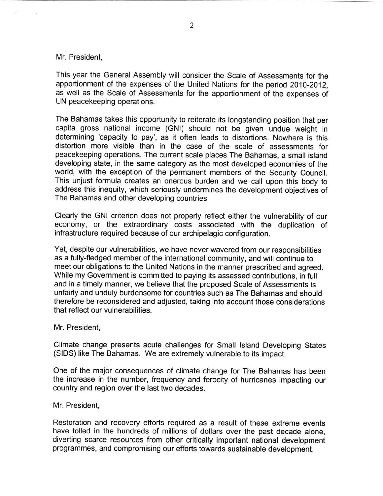This year the General Assembly will consider the Scale of Assessments for the apportionment of the expenses of the United Nations for the period 2010-2012, as well as the Scale of Assessments for the apportionment of the expenses of UN peacekeeping operations.

The Bahamas takes this opportunity to reiterate its longstanding position that per capita gross national income (GNI) should not be given undue weight in determining 'capacity to pay', as it often leads to distortions. Nowhere is this distortion more visible than in the case of the scale of assessments for peacekeeping operations. The current scale places The Bahamas, a small island developing state, in the same category as the most developed economies of the world, with the exception of the permanent members of the Security Council. This unjust formula creates an onerous burden and we call upon this body to address this inequity, which seriously undermines the development objectives of The Bahamas and other developing countries

Clearly the GNI criterion does not properly reflect either the vulnerability of our economy, or the extraordinary costs associated with the duplication of infrastructure required because of our archipelagic configuration.

Yet, despite our vulnerabilities, we have never wavered from our responsibilities as a fully-fledged member of the international community, and will continue to meet our obligations to the United Nations in the manner prescribed and agreed. While my Government is committed to paying its assessed contributions, in full and in a timely manner, we believe that the proposed Scale of Assessments is unfairly and unduly burdensome for countries such as The Bahamas and should therefore be reconsidered and adjusted, taking into account those considerations that reflect our vulnerabilities.

#### Mr. President,

Climate change presents acute challenges for Small Island Developing States (SIDS) like The Bahamas. We are extremely vulnerable to its impact.

One of the major consequences of climate change for The Bahamas has been the increase in the number, frequency and ferocity of hurricanes impacting our country and region over the last two decades.

#### Mr. President,

Restoration and recovery efforts required as a result of these extreme events have tolled in the hundreds of millions of dollars over the past decade alone, diverting scarce resources from other critically important national development programmes, and compromising our efforts towards sustainable development.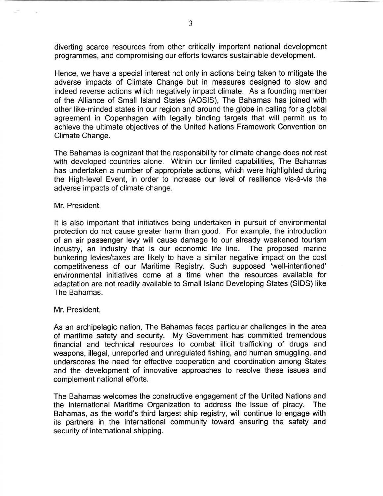diverting scarce resources from other critically important national development programmes, and compromising our efforts towards sustainable development.

Hence, we have a special interest not only in actions being taken to mitigate the adverse impacts of Climate Change but in measures designed to slow and indeed reverse actions which negatively impact climate. As a founding member of the Alliance of Small Island States (AOSIS), The Bahamas has joined with other like-minded states in our region and around the globe in calling for a global agreement in Copenhagen with legally binding targets that will permit us to achieve the ultimate objectives of the United Nations Framework Convention on Climate Change.

The Bahamas is cognizant that the responsibility for climate change does not rest with developed countries alone. Within our limited capabilities, The Bahamas has undertaken a number of appropriate actions, which were highlighted during the High-level Event, in order to increase our level of resilience vis-a-vis the adverse impacts of climate change.

#### Mr. President,

It is also important that initiatives being undertaken in pursuit of environmental protection do not cause greater harm than good. For example, the introduction of an air passenger levy will cause damage to our already weakened tourism industry, an industry that is our economic life line. The proposed marine bunkering levies/taxes are likely to have a similar negative impact on the cost competitiveness of our Maritime Registry. Such supposed 'well-intentioned' environmental initiatives come at a time when the resources available for adaptation are not readily available to Small Island Developing States (SIDS) like The Bahamas.

#### Mr. President,

As an archipelagic nation, The Bahamas faces particular challenges in the area of maritime safety and security. My Government has committed tremendous financial and technical resources to combat illicit trafficking of drugs and weapons, illegal, unreported and unregulated fishing, and human smuggling, and underscores the need for effective cooperation and coordination among States and the development of innovative approaches to resolve these issues and complement national efforts.

The Bahamas welcomes the constructive engagement of the United Nations and the International Maritime Organization to address the issue of piracy. The Bahamas, as the world's third largest ship registry, will continue to engage with its partners in the international community toward ensuring the safety and security of international shipping.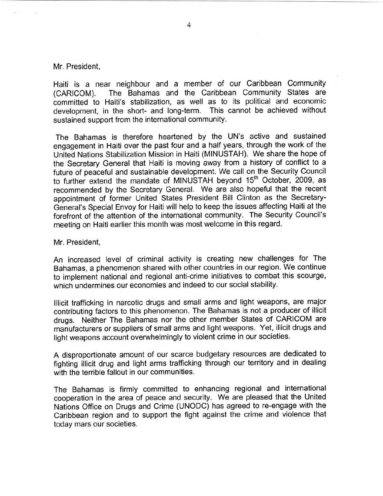Haiti is a near neighbour and a member of our Caribbean Community (CARICOM). The Bahamas and the Caribbean Community States are committed to Haiti's stabilization, as well as to its political and economic development, in the short- and long-term. This cannot be achieved without sustained support from the international community.

The Bahamas is therefore heartened by the UN's active and sustained engagement in Haiti over the past four and a half years, through the work of the United Nations Stabilization Mission in Haiti (MINUSTAH). We share the hope of the Secretary General that Haiti is moving away from a history of conflict to a future of peaceful and sustainable development. We call on the Security Council to further extend the mandate of MINUSTAH beyond 15<sup>th</sup> October, 2009, as recommended by the Secretary General. We are also hopeful that the recent appointment of former United States President Bill Clinton as the Secretary-General's Special Envoy for Haiti will help to keep the issues affecting Haiti at the forefront of the attention of the international community. The Security Council's meeting on Haiti earlier this month was most welcome in this regard.

Mr. President,

An increased level of criminal activity is creating new challenges for The Bahamas, a phenomenon shared with other countries in our region. We continue to implement national and regional anti-crime initiatives to combat this scourge, which undermines our economies and indeed to our social stability.

Illicit trafficking in narcotic drugs and small arms and light weapons, are major contributing factors to this phenomenon. The Bahamas is not a producer of illicit drugs. Neither The Bahamas nor the other member States of CARICOM are manufacturers or suppliers of small arms and light weapons. Yet, illicit drugs and light weapons account overwhelmingly to violent crime in our societies.

A disproportionate amount of our scarce budgetary resources are dedicated to fighting illicit drug and light arms trafficking through our territory and in dealing with the terrible fallout in our communities.

The Bahamas is firmly committed to enhancing regional and international cooperation in the area of peace and security. We are pleased that the United Nations Office on Drugs and Crime (UNODC) has agreed to re-engage with the Caribbean region and to support the fight against the crime and violence that today mars our societies.